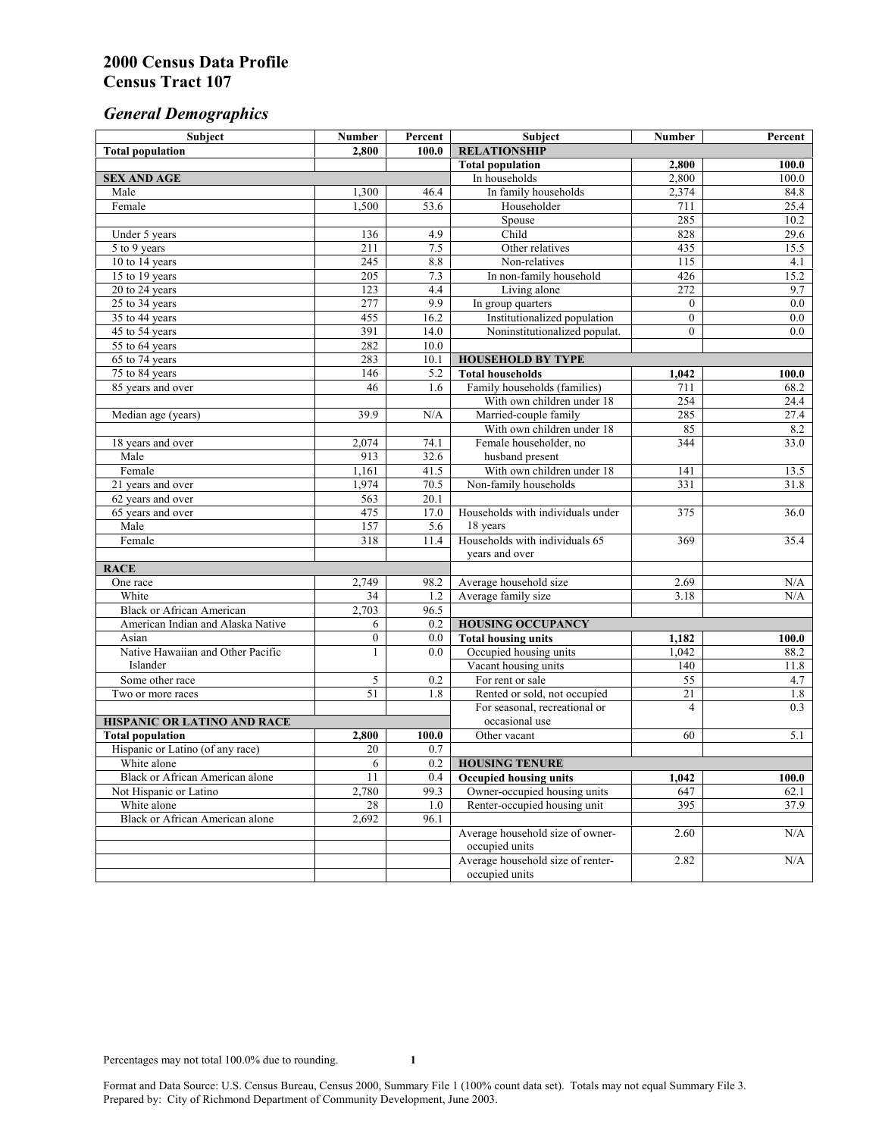# *General Demographics*

| Subject                           | <b>Number</b>    | Percent | Subject                                                 | <b>Number</b>  | Percent          |
|-----------------------------------|------------------|---------|---------------------------------------------------------|----------------|------------------|
| <b>Total population</b>           | 2,800            | 100.0   | <b>RELATIONSHIP</b>                                     |                |                  |
|                                   |                  |         | <b>Total population</b>                                 | 2,800          | 100.0            |
| <b>SEX AND AGE</b>                |                  |         | In households                                           | 2.800          | 100.0            |
| Male                              | 1,300            | 46.4    | In family households                                    | 2,374          | 84.8             |
| Female                            | 1,500            | 53.6    | Householder                                             | 711            | 25.4             |
|                                   |                  |         | Spouse                                                  | 285            | 10.2             |
| Under 5 years                     | 136              | 4.9     | Child                                                   | 828            | 29.6             |
| 5 to 9 years                      | 211              | 7.5     | Other relatives                                         | 435            | 15.5             |
| 10 to 14 years                    | 245              | 8.8     | Non-relatives                                           | 115            | 4.1              |
| 15 to 19 years                    | 205              | 7.3     | In non-family household                                 | 426            | 15.2             |
| 20 to 24 years                    | 123              | 4.4     | Living alone                                            | 272            | 9.7              |
| $25 \text{ to } 34$ years         | 277              | 9.9     | In group quarters                                       | $\overline{0}$ | 0.0              |
| 35 to 44 years                    | 455              | 16.2    | Institutionalized population                            | $\overline{0}$ | 0.0              |
| 45 to 54 years                    | 391              | 14.0    | Noninstitutionalized populat.                           | $\overline{0}$ | $\overline{0.0}$ |
| 55 to 64 years                    | 282              | 10.0    |                                                         |                |                  |
| 65 to 74 years                    | 283              | 10.1    | <b>HOUSEHOLD BY TYPE</b>                                |                |                  |
| 75 to 84 years                    | 146<br>46        | 5.2     | <b>Total households</b><br>Family households (families) | 1,042<br>711   | 100.0<br>68.2    |
| 85 years and over                 |                  | 1.6     | With own children under 18                              | 254            | 24.4             |
|                                   | 39.9             | N/A     | Married-couple family                                   | 285            | 27.4             |
| Median age (years)                |                  |         | With own children under 18                              | 85             | 8.2              |
|                                   | 2,074            | 74.1    | Female householder, no                                  | 344            | 33.0             |
| 18 years and over<br>Male         | 913              | 32.6    | husband present                                         |                |                  |
| Female                            | 1,161            | 41.5    | With own children under 18                              | 141            | 13.5             |
| 21 years and over                 | 1,974            | 70.5    | Non-family households                                   | 331            | 31.8             |
| 62 years and over                 | 563              | 20.1    |                                                         |                |                  |
| 65 years and over                 | 475              | 17.0    | Households with individuals under                       | 375            | 36.0             |
| Male                              | 157              | 5.6     | 18 years                                                |                |                  |
| Female                            | 318              | 11.4    | Households with individuals 65                          | 369            | 35.4             |
|                                   |                  |         | years and over                                          |                |                  |
| <b>RACE</b>                       |                  |         |                                                         |                |                  |
| One race                          | 2,749            | 98.2    | Average household size                                  | 2.69           | $\rm N/A$        |
| White                             | 34               | 1.2     | Average family size                                     | 3.18           | N/A              |
| <b>Black or African American</b>  | 2,703            | 96.5    |                                                         |                |                  |
| American Indian and Alaska Native | 6                | 0.2     | <b>HOUSING OCCUPANCY</b>                                |                |                  |
| Asian                             | $\boldsymbol{0}$ | 0.0     | <b>Total housing units</b>                              | 1,182          | 100.0            |
| Native Hawaiian and Other Pacific | 1                | 0.0     | Occupied housing units                                  | 1,042          | 88.2             |
| Islander                          |                  |         | Vacant housing units                                    | 140            | 11.8             |
| Some other race                   | 5                | 0.2     | For rent or sale                                        | 55             | 4.7              |
| Two or more races                 | 51               | 1.8     | Rented or sold, not occupied                            | 21             | 1.8              |
|                                   |                  |         | For seasonal, recreational or                           | 4              | 0.3              |
| HISPANIC OR LATINO AND RACE       |                  |         | occasional use                                          |                |                  |
| <b>Total population</b>           | 2,800            | 100.0   | Other vacant                                            | 60             | 5.1              |
| Hispanic or Latino (of any race)  | 20               | 0.7     |                                                         |                |                  |
| White alone                       | 6                | 0.2     | <b>HOUSING TENURE</b>                                   |                |                  |
| Black or African American alone   | 11               | 0.4     | <b>Occupied housing units</b>                           | 1,042          | 100.0            |
| Not Hispanic or Latino            | 2,780            | 99.3    | Owner-occupied housing units                            | 647            | 62.1             |
| White alone                       | 28               | 1.0     | Renter-occupied housing unit                            | 395            | 37.9             |
| Black or African American alone   | 2,692            | 96.1    |                                                         |                |                  |
|                                   |                  |         | Average household size of owner-                        | 2.60           | N/A              |
|                                   |                  |         | occupied units                                          |                |                  |
|                                   |                  |         | Average household size of renter-                       | 2.82           | N/A              |
|                                   |                  |         | occupied units                                          |                |                  |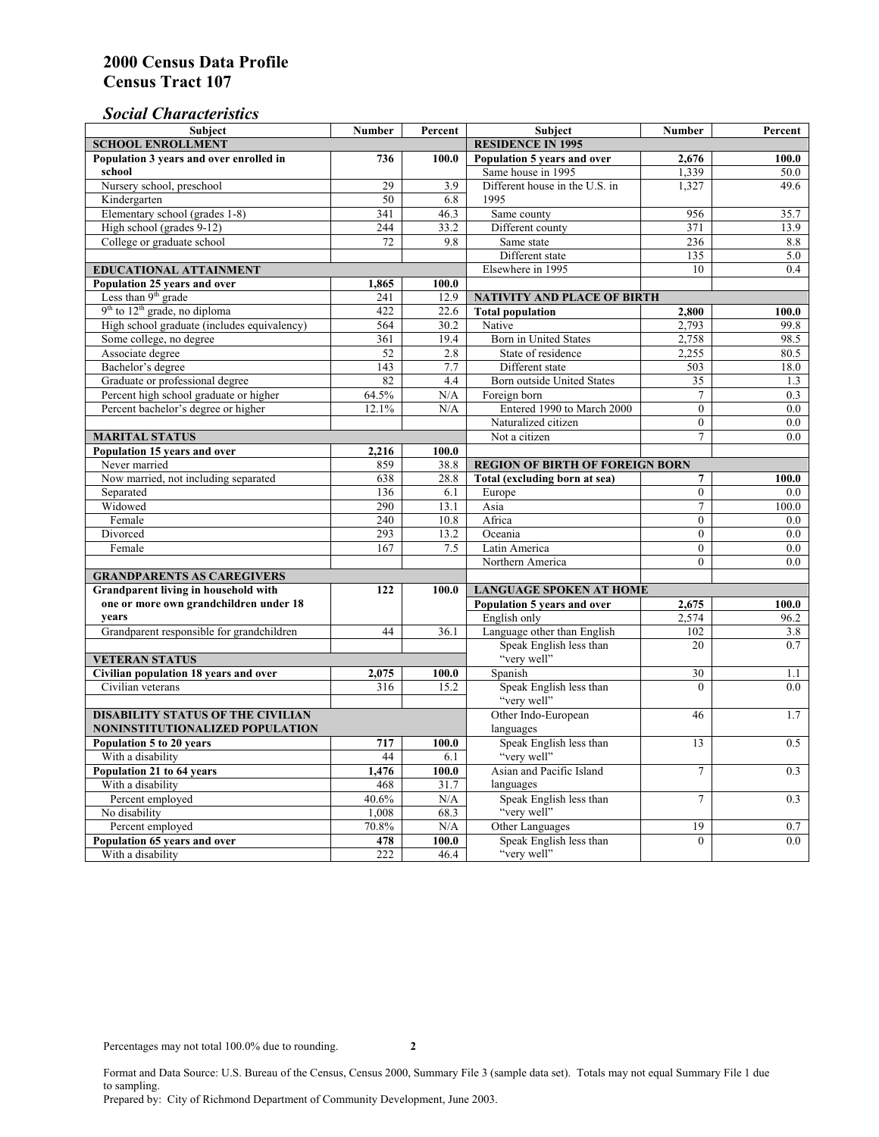# *Social Characteristics*

| <b>Subject</b>                                       | <b>Number</b>            | Percent        | <b>Subject</b>                         | <b>Number</b>    | Percent |
|------------------------------------------------------|--------------------------|----------------|----------------------------------------|------------------|---------|
| <b>SCHOOL ENROLLMENT</b>                             | <b>RESIDENCE IN 1995</b> |                |                                        |                  |         |
| Population 3 years and over enrolled in              | 736                      | 100.0          | Population 5 years and over            | 2,676            | 100.0   |
| school                                               |                          |                | Same house in 1995                     | 1,339            | 50.0    |
| Nursery school, preschool                            | 29                       | 3.9            | Different house in the U.S. in         | 1,327            | 49.6    |
| Kindergarten                                         | 50                       | 6.8            | 1995                                   |                  |         |
| Elementary school (grades 1-8)                       | 341                      | 46.3           | Same county                            | 956              | 35.7    |
| High school (grades 9-12)                            | 244                      | 33.2           | Different county                       | 371              | 13.9    |
| College or graduate school                           | 72                       | 9.8            | Same state                             | $\overline{236}$ | 8.8     |
|                                                      |                          |                | Different state                        | 135              | 5.0     |
| <b>EDUCATIONAL ATTAINMENT</b>                        | Elsewhere in 1995        | 10             | 0.4                                    |                  |         |
| Population 25 years and over                         | 1,865                    | 100.0          |                                        |                  |         |
| Less than 9 <sup>th</sup> grade                      | 241                      | 12.9           | NATIVITY AND PLACE OF BIRTH            |                  |         |
| $9th$ to $12th$ grade, no diploma                    | 422                      | 22.6           | <b>Total population</b>                | 2,800            | 100.0   |
| High school graduate (includes equivalency)          | 564                      | 30.2           | Native                                 | 2.793            | 99.8    |
| Some college, no degree                              | 361                      | 19.4           | <b>Born</b> in United States           | 2,758            | 98.5    |
| Associate degree                                     | 52                       | 2.8            | State of residence                     | 2,255            | 80.5    |
| Bachelor's degree                                    | 143                      | 7.7            | Different state                        | 503              | 18.0    |
| Graduate or professional degree                      | 82                       | 4.4            | Born outside United States             | 35               | 1.3     |
| Percent high school graduate or higher               | 64.5%                    | N/A            | Foreign born                           | $\overline{7}$   | 0.3     |
| Percent bachelor's degree or higher                  | 12.1%                    | N/A            | Entered 1990 to March 2000             | $\mathbf{0}$     | 0.0     |
|                                                      |                          |                | Naturalized citizen                    | $\Omega$         | $0.0\,$ |
| <b>MARITAL STATUS</b>                                | Not a citizen            | $\overline{7}$ | 0.0                                    |                  |         |
| Population 15 years and over                         | 2,216                    | 100.0          |                                        |                  |         |
| Never married                                        | 859                      | 38.8           | <b>REGION OF BIRTH OF FOREIGN BORN</b> |                  |         |
| Now married, not including separated                 | 638                      | 28.8           | Total (excluding born at sea)          | 7                | 100.0   |
| Separated                                            | 136                      | 6.1            | Europe                                 | $\overline{0}$   | 0.0     |
| Widowed                                              | 290                      | 13.1           | Asia                                   | 7                | 100.0   |
| Female                                               | 240                      | 10.8           | Africa                                 | $\theta$         | 0.0     |
| Divorced                                             | 293                      | 13.2           | Oceania                                | $\Omega$         | 0.0     |
| Female                                               | 167                      | 7.5            | Latin America                          | $\boldsymbol{0}$ | $0.0\,$ |
|                                                      |                          |                | Northern America                       | $\theta$         | 0.0     |
| <b>GRANDPARENTS AS CAREGIVERS</b>                    |                          |                |                                        |                  |         |
| Grandparent living in household with<br>122<br>100.0 |                          |                | <b>LANGUAGE SPOKEN AT HOME</b>         |                  |         |
| one or more own grandchildren under 18               |                          |                | Population 5 years and over            | 2,675            | 100.0   |
| years                                                |                          |                | English only                           | 2,574            | 96.2    |
| Grandparent responsible for grandchildren            | 44                       | 36.1           | Language other than English            | 102              | 3.8     |
|                                                      |                          |                | Speak English less than                | 20               | 0.7     |
| <b>VETERAN STATUS</b>                                |                          |                | "very well"                            |                  |         |
| Civilian population 18 years and over                | 2,075                    | 100.0          | Spanish                                | 30               | 1.1     |
| Civilian veterans                                    | 316                      | 15.2           | Speak English less than                | $\theta$         | 0.0     |
|                                                      |                          |                | "very well"                            |                  |         |
| <b>DISABILITY STATUS OF THE CIVILIAN</b>             | Other Indo-European      | 46             | 1.7                                    |                  |         |
| NONINSTITUTIONALIZED POPULATION                      | languages                |                |                                        |                  |         |
| Population 5 to 20 years                             | 717                      | 100.0          | Speak English less than                | 13               | 0.5     |
| With a disability                                    | 44                       | 6.1            | "very well"                            |                  |         |
| Population 21 to 64 years                            | 1.476                    | 100.0          | Asian and Pacific Island               | $\overline{7}$   | 0.3     |
| With a disability                                    | 468                      | 31.7           | languages                              |                  |         |
| Percent employed                                     | 40.6%                    | N/A            | Speak English less than                | $\tau$           | 0.3     |
| No disability                                        | 1,008                    | 68.3           | "very well"                            |                  |         |
| Percent employed                                     | 70.8%                    | N/A            | Other Languages                        | 19               | 0.7     |
| Population 65 years and over                         | 478                      | 100.0          | Speak English less than                | $\mathbf{0}$     | 0.0     |
| With a disability                                    | 222                      | 46.4           | "very well"                            |                  |         |

Format and Data Source: U.S. Bureau of the Census, Census 2000, Summary File 3 (sample data set). Totals may not equal Summary File 1 due to sampling.

Prepared by: City of Richmond Department of Community Development, June 2003.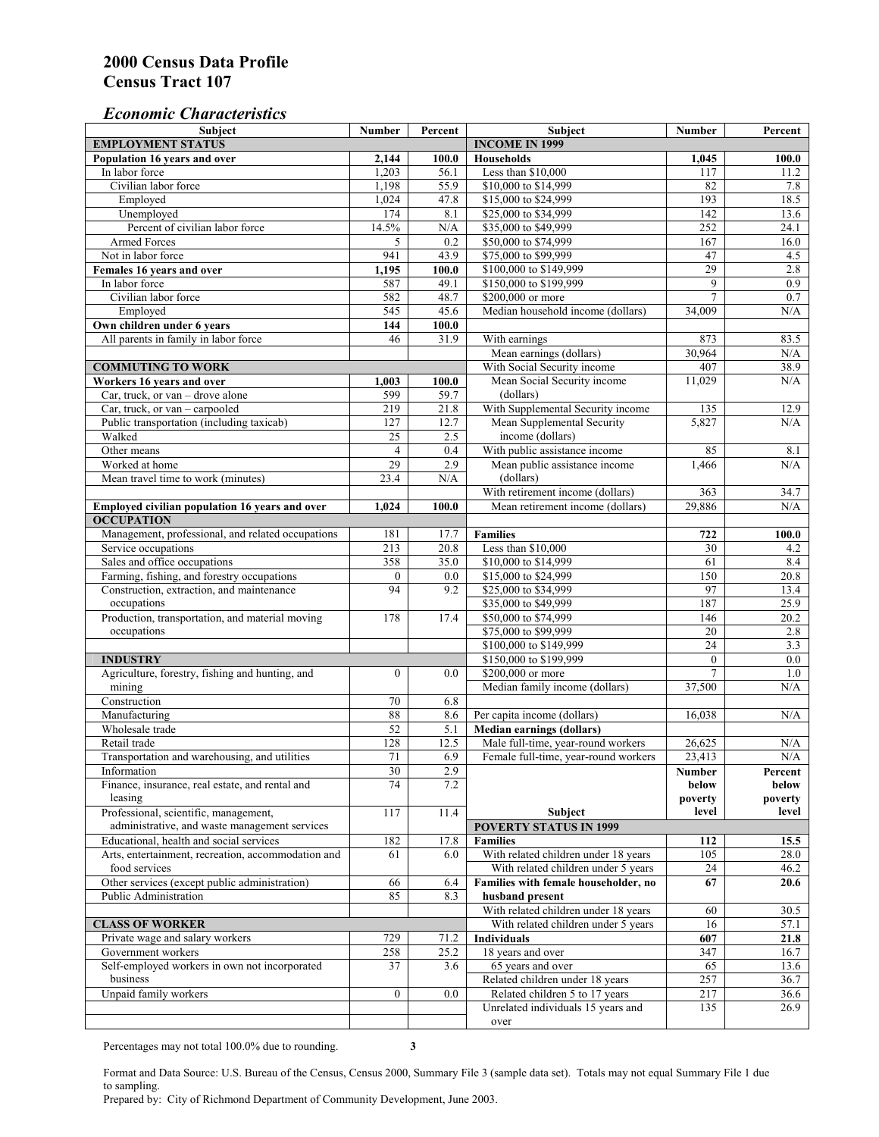## *Economic Characteristics*

| <b>Subject</b>                                     | Number           | Percent | Subject                                    | Number          | Percent |
|----------------------------------------------------|------------------|---------|--------------------------------------------|-----------------|---------|
| <b>EMPLOYMENT STATUS</b>                           |                  |         | <b>INCOME IN 1999</b>                      |                 |         |
| Population 16 years and over                       | 2,144            | 100.0   | <b>Households</b>                          | 1,045           | 100.0   |
| In labor force                                     | 1,203            | 56.1    | Less than \$10,000                         | 117             | 11.2    |
| Civilian labor force                               | 1,198            | 55.9    | \$10,000 to \$14,999                       | 82              | 7.8     |
| Employed                                           | 1,024            | 47.8    | \$15,000 to \$24,999                       | 193             | 18.5    |
| Unemployed                                         | 174              | 8.1     | \$25,000 to \$34,999                       | 142             | 13.6    |
| Percent of civilian labor force                    | 14.5%            | N/A     | \$35,000 to \$49,999                       | 252             | 24.1    |
| Armed Forces                                       | 5                | 0.2     | \$50,000 to \$74,999                       | 167             | 16.0    |
| Not in labor force                                 | 941              | 43.9    | \$75,000 to \$99,999                       | 47              | 4.5     |
| Females 16 years and over                          | 1,195            | 100.0   | \$100,000 to \$149,999                     | 29              | 2.8     |
| In labor force                                     | 587              | 49.1    | \$150,000 to \$199,999                     | 9               | 0.9     |
| Civilian labor force                               | 582              | 48.7    | \$200,000 or more                          | $\overline{7}$  | 0.7     |
| Employed                                           | 545              | 45.6    | Median household income (dollars)          | 34,009          | N/A     |
| Own children under 6 years                         | 144              | 100.0   |                                            |                 |         |
| All parents in family in labor force               | 46               | 31.9    | With earnings                              | 873             | 83.5    |
|                                                    |                  |         | Mean earnings (dollars)                    | 30,964          | N/A     |
| <b>COMMUTING TO WORK</b>                           |                  |         | With Social Security income                | 407             | 38.9    |
| Workers 16 years and over                          | 1,003            | 100.0   | Mean Social Security income                | 11,029          | N/A     |
| Car, truck, or van – drove alone                   | 599              | 59.7    | (dollars)                                  |                 |         |
| Car, truck, or van - carpooled                     | 219              | 21.8    | With Supplemental Security income          | 135             | 12.9    |
| Public transportation (including taxicab)          | 127              | 12.7    | Mean Supplemental Security                 | 5,827           | N/A     |
| Walked                                             | $\overline{25}$  | 2.5     | income (dollars)                           |                 |         |
| Other means                                        | $\overline{4}$   | 0.4     | With public assistance income              | 85              | 8.1     |
| Worked at home                                     | 29               | 2.9     |                                            | 1,466           | N/A     |
|                                                    |                  |         | Mean public assistance income<br>(dollars) |                 |         |
| Mean travel time to work (minutes)                 | 23.4             | N/A     |                                            |                 |         |
|                                                    |                  |         | With retirement income (dollars)           | 363             | 34.7    |
| Employed civilian population 16 years and over     | 1,024            | 100.0   | Mean retirement income (dollars)           | 29,886          | N/A     |
| <b>OCCUPATION</b>                                  |                  |         |                                            |                 |         |
| Management, professional, and related occupations  | 181              | 17.7    | <b>Families</b>                            | 722             | 100.0   |
| Service occupations                                | 213              | 20.8    | Less than \$10,000                         | 30              | 4.2     |
| Sales and office occupations                       | 358              | 35.0    | \$10,000 to \$14,999                       | 61              | 8.4     |
| Farming, fishing, and forestry occupations         | $\boldsymbol{0}$ | 0.0     | \$15,000 to \$24,999                       | 150             | 20.8    |
| Construction, extraction, and maintenance          | 94               | 9.2     | \$25,000 to \$34,999                       | 97              | 13.4    |
| occupations                                        |                  |         | \$35,000 to \$49,999                       | 187             | 25.9    |
| Production, transportation, and material moving    | 178              | 17.4    | \$50,000 to \$74,999                       | 146             | 20.2    |
| occupations                                        |                  |         | \$75,000 to \$99,999                       | 20              | 2.8     |
|                                                    |                  |         | \$100,000 to \$149,999                     | $\overline{24}$ | 3.3     |
| <b>INDUSTRY</b>                                    |                  |         | \$150,000 to \$199,999                     | $\mathbf{0}$    | 0.0     |
| Agriculture, forestry, fishing and hunting, and    | $\boldsymbol{0}$ | 0.0     | \$200,000 or more                          | $\overline{7}$  | 1.0     |
| mining                                             |                  |         | Median family income (dollars)             | 37,500          | N/A     |
| Construction                                       | 70               | 6.8     |                                            |                 |         |
| Manufacturing                                      | 88               | 8.6     | Per capita income (dollars)                | 16,038          | N/A     |
| Wholesale trade                                    | $\overline{52}$  | 5.1     | <b>Median earnings (dollars)</b>           |                 |         |
| Retail trade                                       | 128              | 12.5    | Male full-time, year-round workers         | 26,625          | N/A     |
| Transportation and warehousing, and utilities      | 71               | 6.9     | Female full-time, year-round workers       | 23,413          | N/A     |
| Information                                        | 30               | 2.9     |                                            | Number          | Percent |
| Finance, insurance, real estate, and rental and    | 74               | 7.2     |                                            | below           | below   |
| leasing                                            |                  |         |                                            | poverty         | poverty |
| Professional, scientific, management,              | 117              | 11.4    | Subject                                    | level           | level   |
| administrative, and waste management services      |                  |         | <b>POVERTY STATUS IN 1999</b>              |                 |         |
| Educational, health and social services            | 182              | 17.8    | <b>Families</b>                            | 112             | 15.5    |
| Arts, entertainment, recreation, accommodation and | 61               | 6.0     | With related children under 18 years       | 105             | 28.0    |
| food services                                      |                  |         | With related children under 5 years        | 24              | 46.2    |
| Other services (except public administration)      | 66               | 6.4     | Families with female householder, no       | 67              | 20.6    |
| Public Administration                              | 85               | 8.3     | husband present                            |                 |         |
|                                                    |                  |         | With related children under 18 years       | 60              | 30.5    |
| <b>CLASS OF WORKER</b>                             |                  |         | With related children under 5 years        | 16              | 57.1    |
| Private wage and salary workers                    | 729              | 71.2    | Individuals                                | 607             | 21.8    |
| Government workers                                 | 258              | 25.2    | 18 years and over                          | 347             | 16.7    |
| Self-employed workers in own not incorporated      | 37               | 3.6     | 65 years and over                          | 65              | 13.6    |
| business                                           |                  |         | Related children under 18 years            | 257             | 36.7    |
| Unpaid family workers                              | $\mathbf{0}$     | 0.0     | Related children 5 to 17 years             | 217             | 36.6    |
|                                                    |                  |         | Unrelated individuals 15 years and         | 135             | 26.9    |
|                                                    |                  |         | over                                       |                 |         |
|                                                    |                  |         |                                            |                 |         |

Percentages may not total 100.0% due to rounding. **3** 

Format and Data Source: U.S. Bureau of the Census, Census 2000, Summary File 3 (sample data set). Totals may not equal Summary File 1 due to sampling.

Prepared by: City of Richmond Department of Community Development, June 2003.